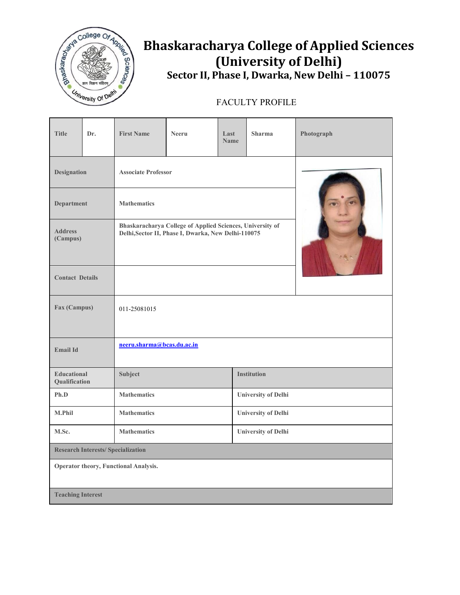

## **Bhaskaracharya College of Applied Sciences (University of Delhi) Sector II, Phase I, Dwarka, New Delhi – 110075**

## FACULTY PROFILE

| <b>Title</b>                              | Dr. | <b>First Name</b>          | <b>Neeru</b>                                                                                                     | Last<br><b>Name</b>        | <b>Sharma</b>              | Photograph |  |  |
|-------------------------------------------|-----|----------------------------|------------------------------------------------------------------------------------------------------------------|----------------------------|----------------------------|------------|--|--|
| <b>Designation</b>                        |     | <b>Associate Professor</b> |                                                                                                                  |                            |                            |            |  |  |
| <b>Department</b>                         |     | <b>Mathematics</b>         |                                                                                                                  |                            |                            |            |  |  |
| <b>Address</b><br>(Campus)                |     |                            | Bhaskaracharya College of Applied Sciences, University of<br>Delhi, Sector II, Phase I, Dwarka, New Delhi-110075 |                            |                            |            |  |  |
| <b>Contact Details</b>                    |     |                            |                                                                                                                  |                            |                            |            |  |  |
| Fax (Campus)                              |     | 011-25081015               |                                                                                                                  |                            |                            |            |  |  |
| <b>Email Id</b>                           |     | neeru.sharma@bcas.du.ac.in |                                                                                                                  |                            |                            |            |  |  |
| Educational<br>Qualification              |     | Subject                    |                                                                                                                  |                            | <b>Institution</b>         |            |  |  |
| Ph.D                                      |     | <b>Mathematics</b>         |                                                                                                                  | <b>University of Delhi</b> |                            |            |  |  |
| M.Phil                                    |     | <b>Mathematics</b>         |                                                                                                                  |                            | <b>University of Delhi</b> |            |  |  |
| M.Sc.                                     |     | <b>Mathematics</b>         |                                                                                                                  | <b>University of Delhi</b> |                            |            |  |  |
| <b>Research Interests/ Specialization</b> |     |                            |                                                                                                                  |                            |                            |            |  |  |
| Operator theory, Functional Analysis.     |     |                            |                                                                                                                  |                            |                            |            |  |  |
| <b>Teaching Interest</b>                  |     |                            |                                                                                                                  |                            |                            |            |  |  |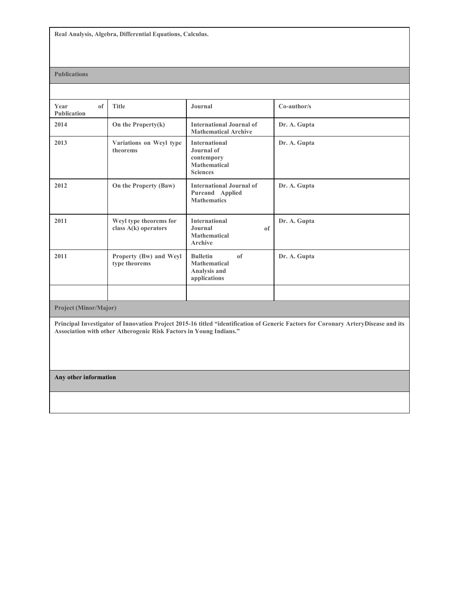**Real Analysis, Algebra, Differential Equations, Calculus.**

## **Publications**

| of<br>Year<br><b>Publication</b> | <b>Title</b>                                     | Journal                                                                                    | Co-author/s  |  |  |  |  |  |
|----------------------------------|--------------------------------------------------|--------------------------------------------------------------------------------------------|--------------|--|--|--|--|--|
| 2014                             | On the Property(k)                               | <b>International Journal of</b><br><b>Mathematical Archive</b>                             | Dr. A. Gupta |  |  |  |  |  |
| 2013                             | Variations on Weyl type<br>theorems              | <b>International</b><br>Journal of<br>contempory<br><b>Mathematical</b><br><b>Sciences</b> | Dr. A. Gupta |  |  |  |  |  |
| 2012                             | On the Property (Baw)                            | <b>International Journal of</b><br>Pureand Applied<br><b>Mathematics</b>                   | Dr. A. Gupta |  |  |  |  |  |
| 2011                             | Weyl type theorems for<br>class $A(k)$ operators | <b>International</b><br>Journal<br><sub>of</sub><br><b>Mathematical</b><br>Archive         | Dr. A. Gupta |  |  |  |  |  |
| 2011                             | Property (Bw) and Weyl<br>type theorems          | <b>Bulletin</b><br>of<br><b>Mathematical</b><br>Analysis and<br>applications               | Dr. A. Gupta |  |  |  |  |  |
|                                  |                                                  |                                                                                            |              |  |  |  |  |  |
| <b>Project (Minor/Major)</b>     |                                                  |                                                                                            |              |  |  |  |  |  |

Principal Investigator of Innovation Project 2015-16 titled "identification of Generic Factors for Coronary ArteryDisease and its **Association with other Atherogenic Risk Factors in Young Indians."**

**Any other information**